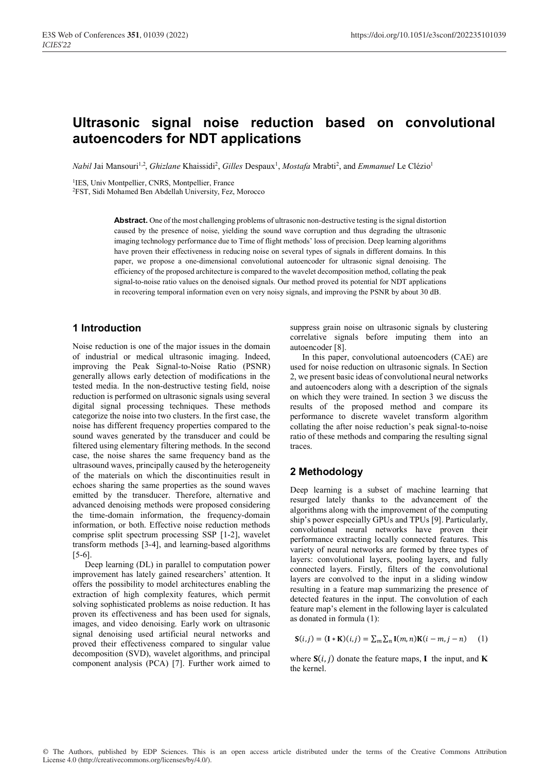# **Ultrasonic signal noise reduction based on convolutional autoencoders for NDT applications**

 $Nabil$  Jai Mansouri<sup>1,2</sup>, *Ghizlane* Khaissidi<sup>2</sup>, *Gilles D*espaux<sup>1</sup>, *Mostafa M*rabti<sup>2</sup>, and *Emmanuel L*e Clézio<sup>1</sup>

1IES, Univ Montpellier, CNRS, Montpellier, France

2FST, Sidi Mohamed Ben Abdellah University, Fez, Morocco

**Abstract.** One of the most challenging problems of ultrasonic non-destructive testing is the signal distortion caused by the presence of noise, yielding the sound wave corruption and thus degrading the ultrasonic imaging technology performance due to Time of flight methods' loss of precision. Deep learning algorithms have proven their effectiveness in reducing noise on several types of signals in different domains. In this paper, we propose a one-dimensional convolutional autoencoder for ultrasonic signal denoising. The efficiency of the proposed architecture is compared to the wavelet decomposition method, collating the peak signal-to-noise ratio values on the denoised signals. Our method proved its potential for NDT applications in recovering temporal information even on very noisy signals, and improving the PSNR by about 30 dB.

# **1 Introduction**

Noise reduction is one of the major issues in the domain of industrial or medical ultrasonic imaging. Indeed, improving the Peak Signal-to-Noise Ratio (PSNR) generally allows early detection of modifications in the tested media. In the non-destructive testing field, noise reduction is performed on ultrasonic signals using several digital signal processing techniques. These methods categorize the noise into two clusters. In the first case, the noise has different frequency properties compared to the sound waves generated by the transducer and could be filtered using elementary filtering methods. In the second case, the noise shares the same frequency band as the ultrasound waves, principally caused by the heterogeneity of the materials on which the discontinuities result in echoes sharing the same properties as the sound waves emitted by the transducer. Therefore, alternative and advanced denoising methods were proposed considering the time-domain information, the frequency-domain information, or both. Effective noise reduction methods comprise split spectrum processing SSP [1-2], wavelet transform methods [3-4], and learning-based algorithms [5-6].

Deep learning (DL) in parallel to computation power improvement has lately gained researchers' attention. It offers the possibility to model architectures enabling the extraction of high complexity features, which permit solving sophisticated problems as noise reduction. It has proven its effectiveness and has been used for signals, images, and video denoising. Early work on ultrasonic signal denoising used artificial neural networks and proved their effectiveness compared to singular value decomposition (SVD), wavelet algorithms, and principal component analysis (PCA) [7]. Further work aimed to suppress grain noise on ultrasonic signals by clustering correlative signals before imputing them into an autoencoder [8].

In this paper, convolutional autoencoders (CAE) are used for noise reduction on ultrasonic signals. In Section 2, we present basic ideas of convolutional neural networks and autoencoders along with a description of the signals on which they were trained. In section 3 we discuss the results of the proposed method and compare its performance to discrete wavelet transform algorithm collating the after noise reduction's peak signal-to-noise ratio of these methods and comparing the resulting signal traces.

# **2 Methodology**

Deep learning is a subset of machine learning that resurged lately thanks to the advancement of the algorithms along with the improvement of the computing ship's power especially GPUs and TPUs [9]. Particularly, convolutional neural networks have proven their performance extracting locally connected features. This variety of neural networks are formed by three types of layers: convolutional layers, pooling layers, and fully connected layers. Firstly, filters of the convolutional layers are convolved to the input in a sliding window resulting in a feature map summarizing the presence of detected features in the input. The convolution of each feature map's element in the following layer is calculated as donated in formula (1):

$$
\mathbf{S}(i,j) = (\mathbf{I} * \mathbf{K})(i,j) = \sum_{m} \sum_{n} \mathbf{I}(m,n) \mathbf{K}(i-m,j-n)
$$
 (1)

where  $S(i, j)$  donate the feature maps, **I** the input, and **K** the kernel.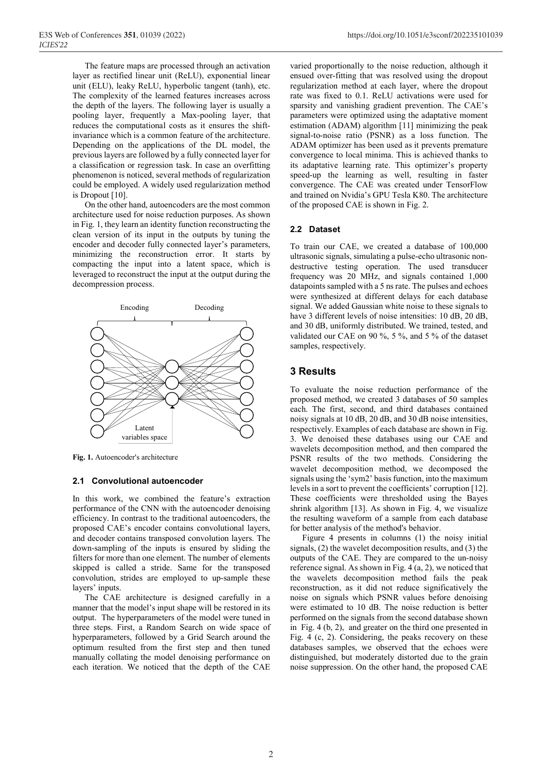The feature maps are processed through an activation layer as rectified linear unit (ReLU), exponential linear unit (ELU), leaky ReLU, hyperbolic tangent (tanh), etc. The complexity of the learned features increases across the depth of the layers. The following layer is usually a pooling layer, frequently a Max-pooling layer, that reduces the computational costs as it ensures the shiftinvariance which is a common feature of the architecture. Depending on the applications of the DL model, the previous layers are followed by a fully connected layer for a classification or regression task. In case an overfitting phenomenon is noticed, several methods of regularization could be employed. A widely used regularization method is Dropout [10].

On the other hand, autoencoders are the most common architecture used for noise reduction purposes. As shown in Fig. 1, they learn an identity function reconstructing the clean version of its input in the outputs by tuning the encoder and decoder fully connected layer's parameters, minimizing the reconstruction error. It starts by compacting the input into a latent space, which is leveraged to reconstruct the input at the output during the decompression process.



**Fig. 1.** Autoencoder's architecture

#### **2.1 Convolutional autoencoder**

In this work, we combined the feature's extraction performance of the CNN with the autoencoder denoising efficiency. In contrast to the traditional autoencoders, the proposed CAE's encoder contains convolutional layers, and decoder contains transposed convolution layers. The down-sampling of the inputs is ensured by sliding the filters for more than one element. The number of elements skipped is called a stride. Same for the transposed convolution, strides are employed to up-sample these layers' inputs.

The CAE architecture is designed carefully in a manner that the model's input shape will be restored in its output. The hyperparameters of the model were tuned in three steps. First, a Random Search on wide space of hyperparameters, followed by a Grid Search around the optimum resulted from the first step and then tuned manually collating the model denoising performance on each iteration. We noticed that the depth of the CAE varied proportionally to the noise reduction, although it ensued over-fitting that was resolved using the dropout regularization method at each layer, where the dropout rate was fixed to 0.1. ReLU activations were used for sparsity and vanishing gradient prevention. The CAE's parameters were optimized using the adaptative moment estimation (ADAM) algorithm [11] minimizing the peak signal-to-noise ratio (PSNR) as a loss function. The ADAM optimizer has been used as it prevents premature convergence to local minima. This is achieved thanks to its adaptative learning rate. This optimizer's property speed-up the learning as well, resulting in faster convergence. The CAE was created under TensorFlow and trained on Nvidia's GPU Tesla K80. The architecture of the proposed CAE is shown in Fig. 2.

#### **2.2 Dataset**

To train our CAE, we created a database of 100,000 ultrasonic signals, simulating a pulse-echo ultrasonic nondestructive testing operation. The used transducer frequency was 20 MHz, and signals contained 1,000 datapoints sampled with a 5 ns rate. The pulses and echoes were synthesized at different delays for each database signal. We added Gaussian white noise to these signals to have 3 different levels of noise intensities: 10 dB, 20 dB, and 30 dB, uniformly distributed. We trained, tested, and validated our CAE on 90 %, 5 %, and 5 % of the dataset samples, respectively.

### **3 Results**

To evaluate the noise reduction performance of the proposed method, we created 3 databases of 50 samples each. The first, second, and third databases contained noisy signals at 10 dB, 20 dB, and 30 dB noise intensities, respectively. Examples of each database are shown in Fig. 3. We denoised these databases using our CAE and wavelets decomposition method, and then compared the PSNR results of the two methods. Considering the wavelet decomposition method, we decomposed the signals using the 'sym2' basis function, into the maximum levels in a sort to prevent the coefficients' corruption [12]. These coefficients were thresholded using the Bayes shrink algorithm [13]. As shown in Fig. 4, we visualize the resulting waveform of a sample from each database for better analysis of the method's behavior.

Figure 4 presents in columns (1) the noisy initial signals, (2) the wavelet decomposition results, and (3) the outputs of the CAE. They are compared to the un-noisy reference signal. As shown in Fig. 4 (a, 2), we noticed that the wavelets decomposition method fails the peak reconstruction, as it did not reduce significatively the noise on signals which PSNR values before denoising were estimated to 10 dB. The noise reduction is better performed on the signals from the second database shown in Fig. 4 (b, 2), and greater on the third one presented in Fig. 4 (c, 2). Considering, the peaks recovery on these databases samples, we observed that the echoes were distinguished, but moderately distorted due to the grain noise suppression. On the other hand, the proposed CAE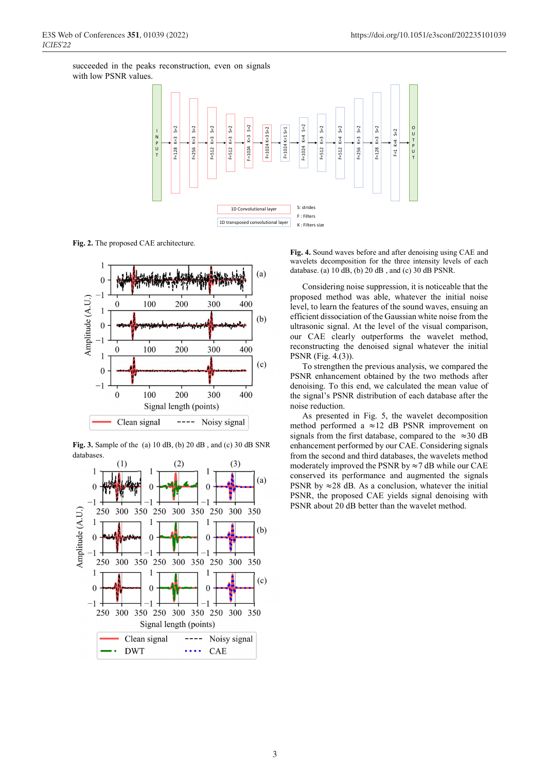succeeded in the peaks reconstruction, even on signals with low PSNR values.



**Fig. 2.** The proposed CAE architecture.



**Fig. 3.** Sample of the (a) 10 dB, (b) 20 dB , and (c) 30 dB SNR databases



**Fig. 4.** Sound waves before and after denoising using CAE and wavelets decomposition for the three intensity levels of each database. (a) 10 dB, (b) 20 dB , and (c) 30 dB PSNR.

Considering noise suppression, it is noticeable that the proposed method was able, whatever the initial noise level, to learn the features of the sound waves, ensuing an efficient dissociation of the Gaussian white noise from the ultrasonic signal. At the level of the visual comparison, our CAE clearly outperforms the wavelet method, reconstructing the denoised signal whatever the initial PSNR (Fig. 4.(3)).

To strengthen the previous analysis, we compared the PSNR enhancement obtained by the two methods after denoising. To this end, we calculated the mean value of the signal's PSNR distribution of each database after the noise reduction.

As presented in Fig. 5, the wavelet decomposition method performed a ≈12 dB PSNR improvement on signals from the first database, compared to the  $\approx$ 30 dB enhancement performed by our CAE. Considering signals from the second and third databases, the wavelets method moderately improved the PSNR by  $\approx$  7 dB while our CAE conserved its performance and augmented the signals PSNR by  $\approx$  28 dB. As a conclusion, whatever the initial PSNR, the proposed CAE yields signal denoising with PSNR about 20 dB better than the wavelet method.